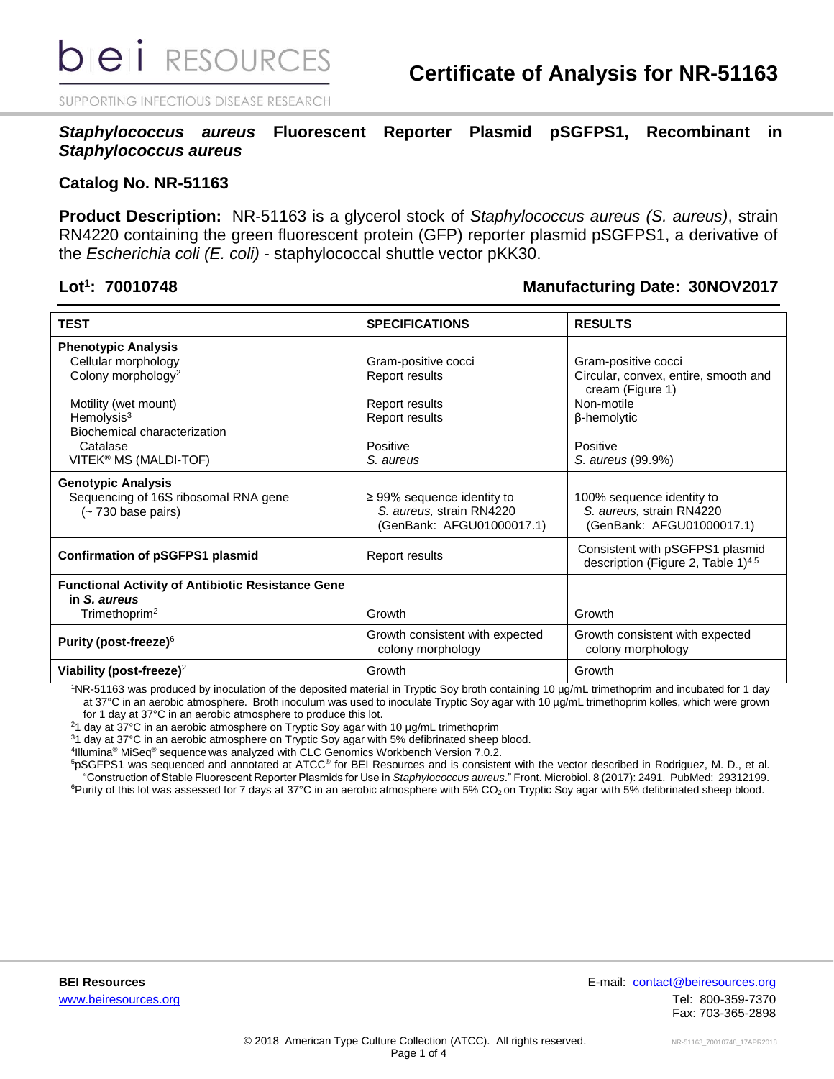SUPPORTING INFECTIOUS DISEASE RESEARCH

*Staphylococcus aureus* **Fluorescent Reporter Plasmid pSGFPS1, Recombinant in**  *Staphylococcus aureus*

### **Catalog No. NR-51163**

**Product Description:** NR-51163 is a glycerol stock of *Staphylococcus aureus (S. aureus)*, strain RN4220 containing the green fluorescent protein (GFP) reporter plasmid pSGFPS1, a derivative of the *Escherichia coli (E. coli)* - staphylococcal shuttle vector pKK30.

### Lot<sup>1</sup>: 70010748

### **: 70010748 Manufacturing Date: 30NOV2017**

| <b>TEST</b>                                                                                                                                                              | <b>SPECIFICATIONS</b>                                                                    | <b>RESULTS</b>                                                                                                           |  |
|--------------------------------------------------------------------------------------------------------------------------------------------------------------------------|------------------------------------------------------------------------------------------|--------------------------------------------------------------------------------------------------------------------------|--|
| <b>Phenotypic Analysis</b><br>Cellular morphology<br>Colony morphology <sup>2</sup><br>Motility (wet mount)<br>Hemolysis $3$<br>Biochemical characterization<br>Catalase | Gram-positive cocci<br>Report results<br>Report results<br>Report results<br>Positive    | Gram-positive cocci<br>Circular, convex, entire, smooth and<br>cream (Figure 1)<br>Non-motile<br>β-hemolytic<br>Positive |  |
| VITEK <sup>®</sup> MS (MALDI-TOF)                                                                                                                                        | S. aureus                                                                                | S. aureus (99.9%)                                                                                                        |  |
| <b>Genotypic Analysis</b><br>Sequencing of 16S ribosomal RNA gene<br>(~ 730 base pairs)                                                                                  | $\geq$ 99% sequence identity to<br>S. aureus, strain RN4220<br>(GenBank: AFGU01000017.1) | 100% sequence identity to<br>S. aureus, strain RN4220<br>(GenBank: AFGU01000017.1)                                       |  |
| <b>Confirmation of pSGFPS1 plasmid</b>                                                                                                                                   | Report results                                                                           | Consistent with pSGFPS1 plasmid<br>description (Figure 2, Table 1) <sup>4,5</sup>                                        |  |
| <b>Functional Activity of Antibiotic Resistance Gene</b><br>in S. aureus<br>Trimethoprim <sup>2</sup>                                                                    | Growth                                                                                   | Growth                                                                                                                   |  |
| Purity (post-freeze) <sup>6</sup>                                                                                                                                        | Growth consistent with expected<br>colony morphology                                     | Growth consistent with expected<br>colony morphology                                                                     |  |
| Viability (post-freeze) <sup>2</sup>                                                                                                                                     | Growth                                                                                   | Growth                                                                                                                   |  |

<sup>1</sup>NR-51163 was produced by inoculation of the deposited material in Tryptic Soy broth containing 10 µg/mL trimethoprim and incubated for 1 day at 37°C in an aerobic atmosphere. Broth inoculum was used to inoculate Tryptic Soy agar with 10 µg/mL trimethoprim kolles, which were grown for 1 day at 37°C in an aerobic atmosphere to produce this lot.

<sup>2</sup>1 day at  $37^{\circ}$ C in an aerobic atmosphere on Tryptic Soy agar with 10  $\mu$ g/mL trimethoprim

<sup>3</sup>1 day at 37°C in an aerobic atmosphere on Tryptic Soy agar with 5% defibrinated sheep blood.

4 Illumina® MiSeq® sequence was analyzed with CLC Genomics Workbench Version 7.0.2.

<sup>5</sup>pSGFPS1 was sequenced and annotated at ATCC® for BEI Resources and is consistent with the vector described in Rodriguez, M. D., et al. "Construction of Stable Fluorescent Reporter Plasmids for Use in *Staphylococcus aureus*." Front. Microbiol. 8 (2017): 2491. PubMed: 29312199.

<sup>6</sup>Purity of this lot was assessed for 7 days at 37°C in an aerobic atmosphere with 5% CO<sub>2</sub> on Tryptic Soy agar with 5% defibrinated sheep blood.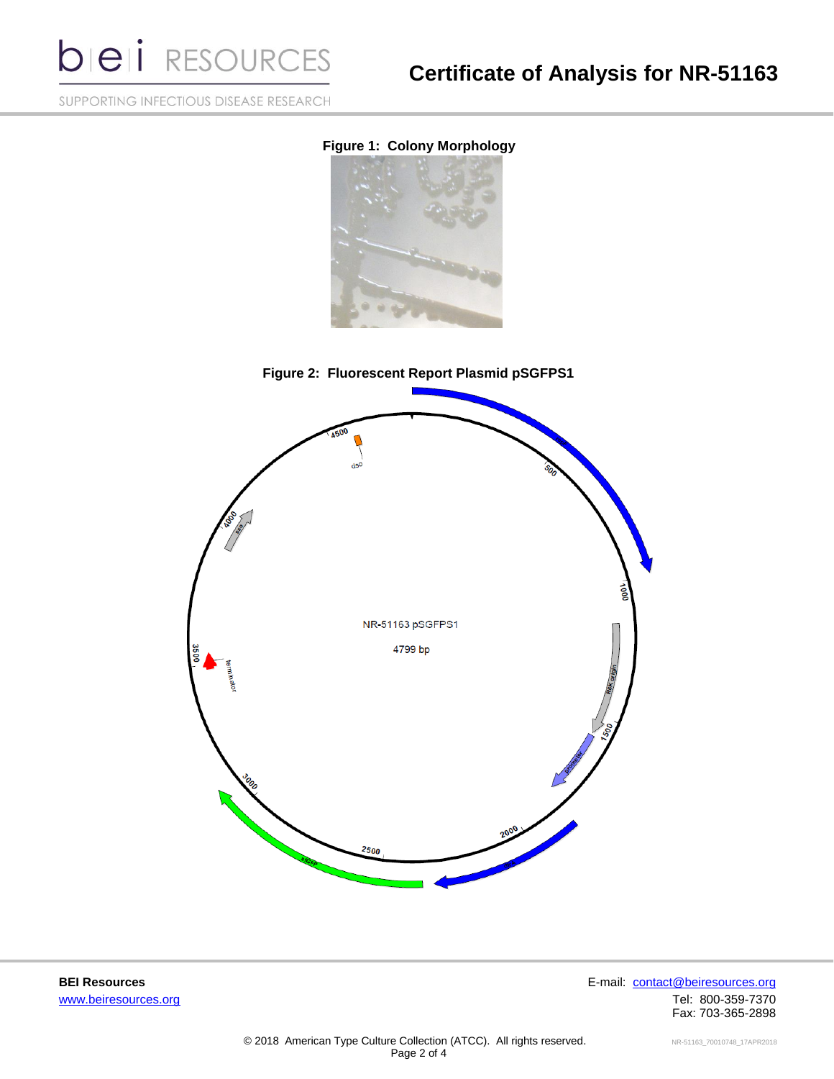**bieli** RESOURCES

# **Certificate of Analysis for NR-51163**

SUPPORTING INFECTIOUS DISEASE RESEARCH

### **Figure 1: Colony Morphology**







**BEI Resources** E-mail: [contact@beiresources.org](mailto:contact@beiresources.org) [www.beiresources.org](http://www.beiresources.org/)Tel: 800-359-7370 Fax: 703-365-2898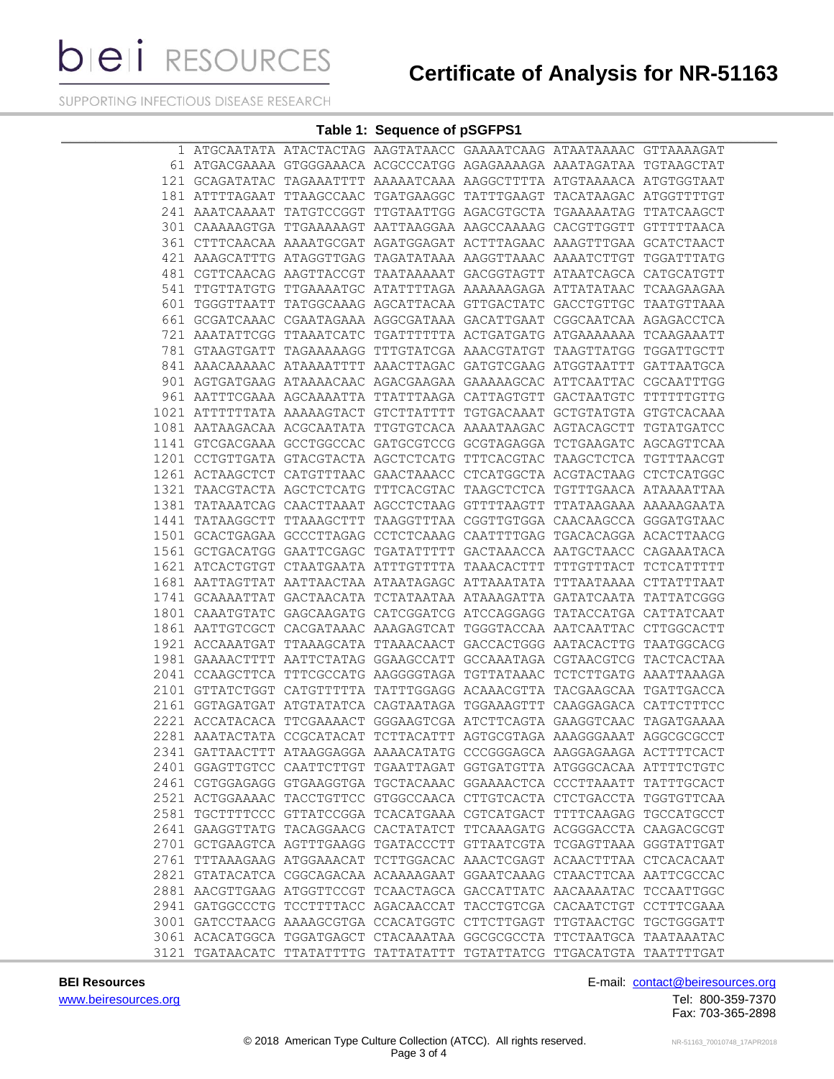**bieli** RESOURCES

# **Certificate of Analysis for NR-51163**

SUPPORTING INFECTIOUS DISEASE RESEARCH

#### **Table 1: Sequence of pSGFPS1**

|  |  | 1 ATGCAATATA ATACTACTAG AAGTATAACC GAAAATCAAG ATAATAAAAC GTTAAAAGAT    |  |  |
|--|--|------------------------------------------------------------------------|--|--|
|  |  | 61 ATGACGAAAA GTGGGAAACA ACGCCCATGG AGAGAAAAGA AAATAGATAA TGTAAGCTAT   |  |  |
|  |  | 121 GCAGATATAC TAGAAATTTT AAAAATCAAA AAGGCTTTTA ATGTAAAACA ATGTGGTAAT  |  |  |
|  |  | 181 ATTTTAGAAT TTAAGCCAAC TGATGAAGGC TATTTGAAGT TACATAAGAC ATGGTTTTGT  |  |  |
|  |  | 241 AAATCAAAAT TATGTCCGGT TTGTAATTGG AGACGTGCTA TGAAAAATAG TTATCAAGCT  |  |  |
|  |  | 301 CAAAAAGTGA TTGAAAAAGT AATTAAGGAA AAGCCAAAAG CACGTTGGTT GTTTTTAACA  |  |  |
|  |  | 361 CTTTCAACAA AAAATGCGAT AGATGGAGAT ACTTTAGAAC AAAGTTTGAA GCATCTAACT  |  |  |
|  |  | 421 AAAGCATTTG ATAGGTTGAG TAGATATAAA AAGGTTAAAC AAAATCTTGT TGGATTTATG  |  |  |
|  |  | 481 CGTTCAACAG AAGTTACCGT TAATAAAAAT GACGGTAGTT ATAATCAGCA CATGCATGTT  |  |  |
|  |  | 541 TTGTTATGTG TTGAAAATGC ATATTTTAGA AAAAAAGAGA ATTATATAAC TCAAGAAGAA  |  |  |
|  |  | 601 TGGGTTAATT TATGGCAAAG AGCATTACAA GTTGACTATC GACCTGTTGC TAATGTTAAA  |  |  |
|  |  | 661 GCGATCAAAC CGAATAGAAA AGGCGATAAA GACATTGAAT CGGCAATCAA AGAGACCTCA  |  |  |
|  |  | 721 AAATATTCGG TTAAATCATC TGATTTTTTA ACTGATGATG ATGAAAAAAA TCAAGAAATT  |  |  |
|  |  | 781 GTAAGTGATT TAGAAAAAGG TTTGTATCGA AAACGTATGT TAAGTTATGG TGGATTGCTT  |  |  |
|  |  | 841 AAACAAAAAC ATAAAATTTT AAACTTAGAC GATGTCGAAG ATGGTAATTT GATTAATGCA  |  |  |
|  |  | 901 AGTGATGAAG ATAAAACAAC AGACGAAGAA GAAAAAGCAC ATTCAATTAC CGCAATTTGG  |  |  |
|  |  | 961 AATTTCGAAA AGCAAAATTA TTATTTAAGA CATTAGTGTT GACTAATGTC TTTTTTGTTG  |  |  |
|  |  | 1021 ATTTTTTATA AAAAAGTACT GTCTTATTTT TGTGACAAAT GCTGTATGTA GTGTCACAAA |  |  |
|  |  | 1081 AATAAGACAA ACGCAATATA TTGTGTCACA AAAATAAGAC AGTACAGCTT TGTATGATCC |  |  |
|  |  | 1141 GTCGACGAAA GCCTGGCCAC GATGCGTCCG GCGTAGAGGA TCTGAAGATC AGCAGTTCAA |  |  |
|  |  | 1201 CCTGTTGATA GTACGTACTA AGCTCTCATG TTTCACGTAC TAAGCTCTCA TGTTTAACGT |  |  |
|  |  | 1261 ACTAAGCTCT CATGTTTAAC GAACTAAACC CTCATGGCTA ACGTACTAAG CTCTCATGGC |  |  |
|  |  | 1321 TAACGTACTA AGCTCTCATG TTTCACGTAC TAAGCTCTCA TGTTTGAACA ATAAAATTAA |  |  |
|  |  | 1381 TATAAATCAG CAACTTAAAT AGCCTCTAAG GTTTTAAGTT TTATAAGAAA AAAAAGAATA |  |  |
|  |  | 1441 TATAAGGCTT TTAAAGCTTT TAAGGTTTAA CGGTTGTGGA CAACAAGCCA GGGATGTAAC |  |  |
|  |  | 1501 GCACTGAGAA GCCCTTAGAG CCTCTCAAAG CAATTTTGAG TGACACAGGA ACACTTAACG |  |  |
|  |  | 1561 GCTGACATGG GAATTCGAGC TGATATTTTT GACTAAACCA AATGCTAACC CAGAAATACA |  |  |
|  |  | 1621 ATCACTGTGT CTAATGAATA ATTTGTTTTA TAAACACTTT TTTGTTTACT TCTCATTTTT |  |  |
|  |  | 1681 AATTAGTTAT AATTAACTAA ATAATAGAGC ATTAAATATA TTTAATAAAA CTTATTTAAT |  |  |
|  |  | 1741 GCAAAATTAT GACTAACATA TCTATAATAA ATAAAGATTA GATATCAATA TATTATCGGG |  |  |
|  |  | 1801 CAAATGTATC GAGCAAGATG CATCGGATCG ATCCAGGAGG TATACCATGA CATTATCAAT |  |  |
|  |  | 1861 AATTGTCGCT CACGATAAAC AAAGAGTCAT TGGGTACCAA AATCAATTAC CTTGGCACTT |  |  |
|  |  | 1921 ACCAAATGAT TTAAAGCATA TTAAACAACT GACCACTGGG AATACACTTG TAATGGCACG |  |  |
|  |  | 1981 GAAAACTTTT AATTCTATAG GGAAGCCATT GCCAAATAGA CGTAACGTCG TACTCACTAA |  |  |
|  |  | 2041 CCAAGCTTCA TTTCGCCATG AAGGGGTAGA TGTTATAAAC TCTCTTGATG AAATTAAAGA |  |  |
|  |  | 2101 GTTATCTGGT CATGTTTTTA TATTTGGAGG ACAAACGTTA TACGAAGCAA TGATTGACCA |  |  |
|  |  | 2161 GGTAGATGAT ATGTATATCA CAGTAATAGA TGGAAAGTTT CAAGGAGACA CATTCTTTCC |  |  |
|  |  | 2221 ACCATACACA TTCGAAAACT GGGAAGTCGA ATCTTCAGTA GAAGGTCAAC TAGATGAAAA |  |  |
|  |  | 2281 AAATACTATA CCGCATACAT TCTTACATTT AGTGCGTAGA AAAGGGAAAT AGGCGCGCCT |  |  |
|  |  | 2341 GATTAACTTT ATAAGGAGGA AAAACATATG CCCGGGAGCA AAGGAGAAGA ACTTTTCACT |  |  |
|  |  | 2401 GGAGTTGTCC CAATTCTTGT TGAATTAGAT GGTGATGTTA ATGGGCACAA ATTTTCTGTC |  |  |
|  |  | 2461 CGTGGAGAGG GTGAAGGTGA TGCTACAAAC GGAAAACTCA CCCTTAAATT TATTTGCACT |  |  |
|  |  | 2521 ACTGGAAAAC TACCTGTTCC GTGGCCAACA CTTGTCACTA CTCTGACCTA TGGTGTTCAA |  |  |
|  |  | 2581 TGCTTTTCCC GTTATCCGGA TCACATGAAA CGTCATGACT TTTTCAAGAG TGCCATGCCT |  |  |
|  |  |                                                                        |  |  |
|  |  | 2641 GAAGGTTATG TACAGGAACG CACTATATCT TTCAAAGATG ACGGGACCTA CAAGACGCGT |  |  |
|  |  | 2701 GCTGAAGTCA AGTTTGAAGG TGATACCCTT GTTAATCGTA TCGAGTTAAA GGGTATTGAT |  |  |
|  |  | 2761 TTTAAAGAAG ATGGAAACAT TCTTGGACAC AAACTCGAGT ACAACTTTAA CTCACACAAT |  |  |
|  |  | 2821 GTATACATCA CGGCAGACAA ACAAAAGAAT GGAATCAAAG CTAACTTCAA AATTCGCCAC |  |  |
|  |  | 2881 AACGTTGAAG ATGGTTCCGT TCAACTAGCA GACCATTATC AACAAAATAC TCCAATTGGC |  |  |
|  |  | 2941 GATGGCCCTG TCCTTTTACC AGACAACCAT TACCTGTCGA CACAATCTGT CCTTTCGAAA |  |  |
|  |  | 3001 GATCCTAACG AAAAGCGTGA CCACATGGTC CTTCTTGAGT TTGTAACTGC TGCTGGGATT |  |  |
|  |  | 3061 ACACATGGCA TGGATGAGCT CTACAAATAA GGCGCGCCTA TTCTAATGCA TAATAAATAC |  |  |
|  |  | 3121 TGATAACATC TTATATTTTG TATTATATTT TGTATTATCG TTGACATGTA TAATTTTGAT |  |  |

[www.beiresources.org](http://www.beiresources.org/)Tel: 800-359-7370

**BEI Resources** E-mail: **contact@beiresources.org** 

Fax: 703-365-2898